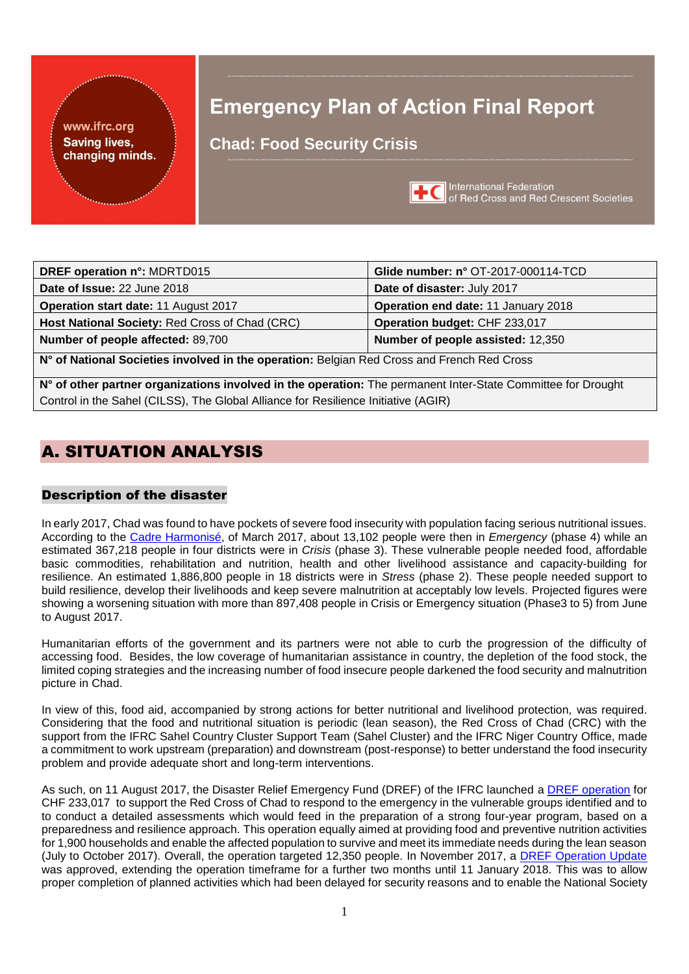# www.ifrc.org **Saving lives,** changing minds.

# **Emergency Plan of Action Final Report**

**Chad: Food Security Crisis**



International Federation **TEC** International Federation<br>of Red Cross and Red Crescent Societies

| <b>DREF operation n°: MDRTD015</b>                                                         | Glide number: n° OT-2017-000114-TCD |  |  |  |  |  |
|--------------------------------------------------------------------------------------------|-------------------------------------|--|--|--|--|--|
| Date of Issue: 22 June 2018                                                                | Date of disaster: July 2017         |  |  |  |  |  |
| Operation start date: 11 August 2017                                                       | Operation end date: 11 January 2018 |  |  |  |  |  |
| Host National Society: Red Cross of Chad (CRC)                                             | Operation budget: CHF 233,017       |  |  |  |  |  |
| Number of people affected: 89,700                                                          | Number of people assisted: 12,350   |  |  |  |  |  |
| N° of National Societies involved in the operation: Belgian Red Cross and French Red Cross |                                     |  |  |  |  |  |

**N° of other partner organizations involved in the operation:** The permanent Inter-State Committee for Drought Control in the Sahel (CILSS), The Global Alliance for Resilience Initiative (AGIR)

# A. SITUATION ANALYSIS

## Description of the disaster

In early 2017, Chad was found to have pockets of severe food insecurity with population facing serious nutritional issues. According to the [Cadre Harmonisé,](http://www.agrhymet.ne/PDF/Fiche%20Communication%20CH_REGIONAL%20Mars-Aout2017%20VFinale.pdf) of March 2017, about 13,102 people were then in *Emergency* (phase 4) while an estimated 367,218 people in four districts were in *Crisis* (phase 3). These vulnerable people needed food, affordable basic commodities, rehabilitation and nutrition, health and other livelihood assistance and capacity-building for resilience. An estimated 1,886,800 people in 18 districts were in *Stress* (phase 2). These people needed support to build resilience, develop their livelihoods and keep severe malnutrition at acceptably low levels. Projected figures were showing a worsening situation with more than 897,408 people in Crisis or Emergency situation (Phase3 to 5) from June to August 2017.

Humanitarian efforts of the government and its partners were not able to curb the progression of the difficulty of accessing food. Besides, the low coverage of humanitarian assistance in country, the depletion of the food stock, the limited coping strategies and the increasing number of food insecure people darkened the food security and malnutrition picture in Chad.

In view of this, food aid, accompanied by strong actions for better nutritional and livelihood protection, was required. Considering that the food and nutritional situation is periodic (lean season), the Red Cross of Chad (CRC) with the support from the IFRC Sahel Country Cluster Support Team (Sahel Cluster) and the IFRC Niger Country Office, made a commitment to work upstream (preparation) and downstream (post-response) to better understand the food insecurity problem and provide adequate short and long-term interventions.

As such, on 11 August 2017, the Disaster Relief Emergency Fund (DREF) of the IFRC launched a [DREF operation](http://adore.ifrc.org/Download.aspx?FileId=169104) for CHF 233,017 to support the Red Cross of Chad to respond to the emergency in the vulnerable groups identified and to to conduct a detailed assessments which would feed in the preparation of a strong four-year program, based on a preparedness and resilience approach. This operation equally aimed at providing food and preventive nutrition activities for 1,900 households and enable the affected population to survive and meet its immediate needs during the lean season (July to October 2017). Overall, the operation targeted 12,350 people. In November 2017, a [DREF Operation Update](http://adore.ifrc.org/Download.aspx?FileId=175705) was approved, extending the operation timeframe for a further two months until 11 January 2018. This was to allow proper completion of planned activities which had been delayed for security reasons and to enable the National Society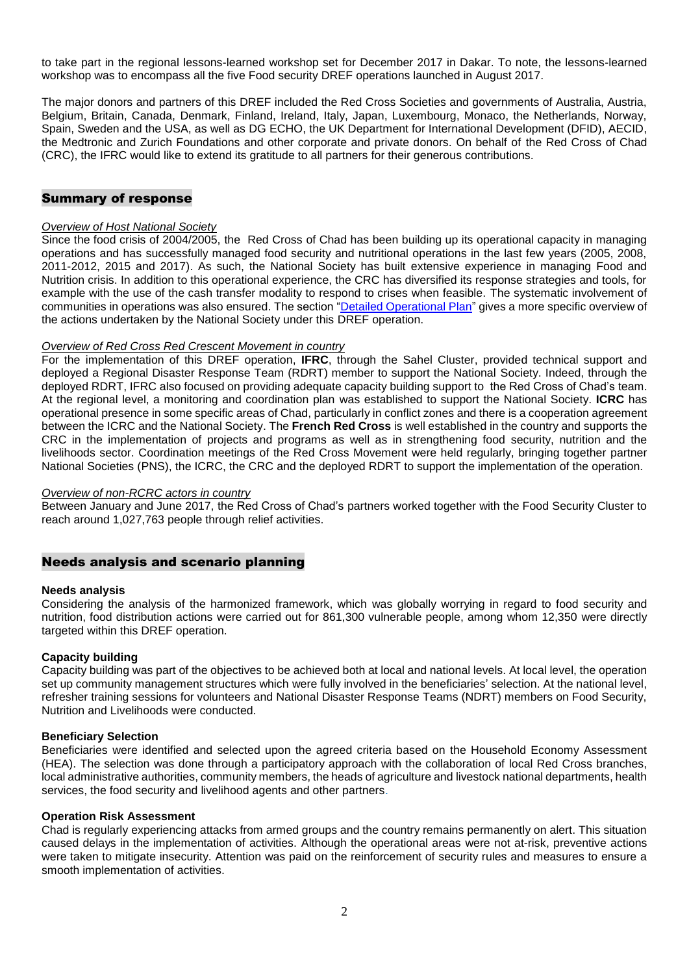to take part in the regional lessons-learned workshop set for December 2017 in Dakar. To note, the lessons-learned workshop was to encompass all the five Food security DREF operations launched in August 2017.

The major donors and partners of this DREF included the Red Cross Societies and governments of Australia, Austria, Belgium, Britain, Canada, Denmark, Finland, Ireland, Italy, Japan, Luxembourg, Monaco, the Netherlands, Norway, Spain, Sweden and the USA, as well as DG ECHO, the UK Department for International Development (DFID), AECID, the Medtronic and Zurich Foundations and other corporate and private donors. On behalf of the Red Cross of Chad (CRC), the IFRC would like to extend its gratitude to all partners for their generous contributions.

### Summary of response

#### *Overview of Host National Society*

Since the food crisis of 2004/2005, the Red Cross of Chad has been building up its operational capacity in managing operations and has successfully managed food security and nutritional operations in the last few years (2005, 2008, 2011-2012, 2015 and 2017). As such, the National Society has built extensive experience in managing Food and Nutrition crisis. In addition to this operational experience, the CRC has diversified its response strategies and tools, for example with the use of the cash transfer modality to respond to crises when feasible. The systematic involvement of communities in operations was also ensured. The section ["Detailed Operational Plan"](#page-2-0) gives a more specific overview of the actions undertaken by the National Society under this DREF operation.

### *Overview of Red Cross Red Crescent Movement in country*

For the implementation of this DREF operation, **IFRC**, through the Sahel Cluster, provided technical support and deployed a Regional Disaster Response Team (RDRT) member to support the National Society. Indeed, through the deployed RDRT, IFRC also focused on providing adequate capacity building support to the Red Cross of Chad's team. At the regional level, a monitoring and coordination plan was established to support the National Society. **ICRC** has operational presence in some specific areas of Chad, particularly in conflict zones and there is a cooperation agreement between the ICRC and the National Society. The **French Red Cross** is well established in the country and supports the CRC in the implementation of projects and programs as well as in strengthening food security, nutrition and the livelihoods sector. Coordination meetings of the Red Cross Movement were held regularly, bringing together partner National Societies (PNS), the ICRC, the CRC and the deployed RDRT to support the implementation of the operation.

#### *Overview of non-RCRC actors in country*

Between January and June 2017, the Red Cross of Chad's partners worked together with the Food Security Cluster to reach around 1,027,763 people through relief activities.

## Needs analysis and scenario planning

#### **Needs analysis**

Considering the analysis of the harmonized framework, which was globally worrying in regard to food security and nutrition, food distribution actions were carried out for 861,300 vulnerable people, among whom 12,350 were directly targeted within this DREF operation.

#### **Capacity building**

Capacity building was part of the objectives to be achieved both at local and national levels. At local level, the operation set up community management structures which were fully involved in the beneficiaries' selection. At the national level, refresher training sessions for volunteers and National Disaster Response Teams (NDRT) members on Food Security, Nutrition and Livelihoods were conducted.

#### **Beneficiary Selection**

Beneficiaries were identified and selected upon the agreed criteria based on the Household Economy Assessment (HEA). The selection was done through a participatory approach with the collaboration of local Red Cross branches, local administrative authorities, community members, the heads of agriculture and livestock national departments, health services, the food security and livelihood agents and other partners.

#### **Operation Risk Assessment**

Chad is regularly experiencing attacks from armed groups and the country remains permanently on alert. This situation caused delays in the implementation of activities. Although the operational areas were not at-risk, preventive actions were taken to mitigate insecurity. Attention was paid on the reinforcement of security rules and measures to ensure a smooth implementation of activities.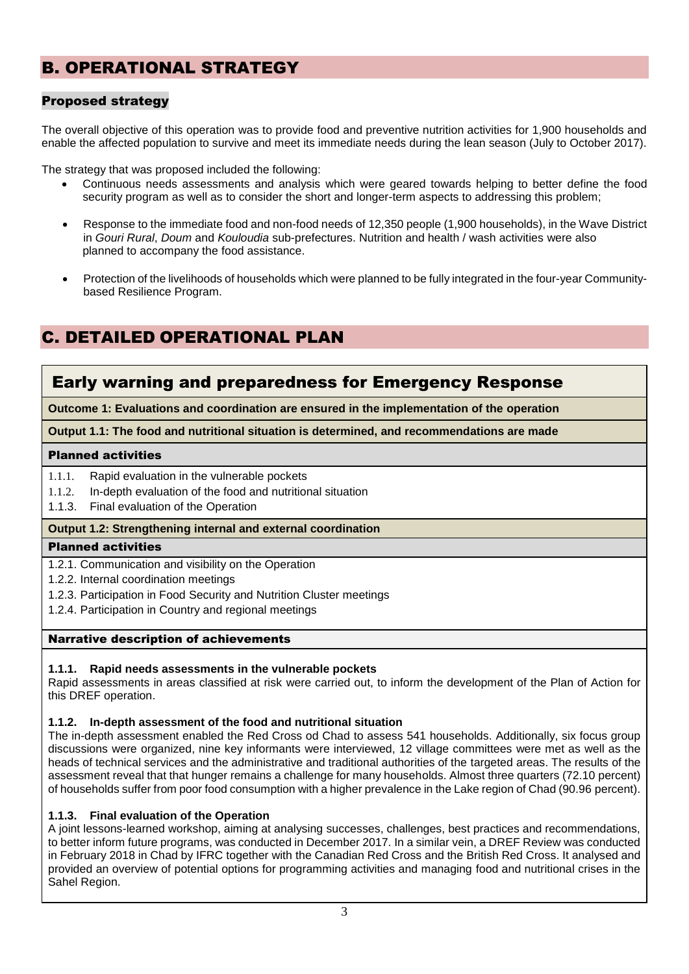# B. OPERATIONAL STRATEGY

## Proposed strategy

The overall objective of this operation was to provide food and preventive nutrition activities for 1,900 households and enable the affected population to survive and meet its immediate needs during the lean season (July to October 2017).

The strategy that was proposed included the following:

- Continuous needs assessments and analysis which were geared towards helping to better define the food security program as well as to consider the short and longer-term aspects to addressing this problem;
- Response to the immediate food and non-food needs of 12,350 people (1,900 households), in the Wave District in *Gouri Rural*, *Doum* and *Kouloudia* sub-prefectures. Nutrition and health / wash activities were also planned to accompany the food assistance.
- <span id="page-2-0"></span>• Protection of the livelihoods of households which were planned to be fully integrated in the four-year Communitybased Resilience Program.

# C. DETAILED OPERATIONAL PLAN

# Early warning and preparedness for Emergency Response

**Outcome 1: Evaluations and coordination are ensured in the implementation of the operation**

**Output 1.1: The food and nutritional situation is determined, and recommendations are made**

## Planned activities

- 1.1.1. Rapid evaluation in the vulnerable pockets
- 1.1.2. In-depth evaluation of the food and nutritional situation
- 1.1.3. Final evaluation of the Operation

## **Output 1.2: Strengthening internal and external coordination**

## Planned activities

- 1.2.1. Communication and visibility on the Operation
- 1.2.2. Internal coordination meetings
- 1.2.3. Participation in Food Security and Nutrition Cluster meetings
- 1.2.4. Participation in Country and regional meetings

## Narrative description of achievements

## **1.1.1. Rapid needs assessments in the vulnerable pockets**

Rapid assessments in areas classified at risk were carried out, to inform the development of the Plan of Action for this DREF operation.

## **1.1.2. In-depth assessment of the food and nutritional situation**

The in-depth assessment enabled the Red Cross od Chad to assess 541 households. Additionally, six focus group discussions were organized, nine key informants were interviewed, 12 village committees were met as well as the heads of technical services and the administrative and traditional authorities of the targeted areas. The results of the assessment reveal that that hunger remains a challenge for many households. Almost three quarters (72.10 percent) of households suffer from poor food consumption with a higher prevalence in the Lake region of Chad (90.96 percent).

## **1.1.3. Final evaluation of the Operation**

A joint lessons-learned workshop, aiming at analysing successes, challenges, best practices and recommendations, to better inform future programs, was conducted in December 2017. In a similar vein, a DREF Review was conducted in February 2018 in Chad by IFRC together with the Canadian Red Cross and the British Red Cross. It analysed and provided an overview of potential options for programming activities and managing food and nutritional crises in the Sahel Region.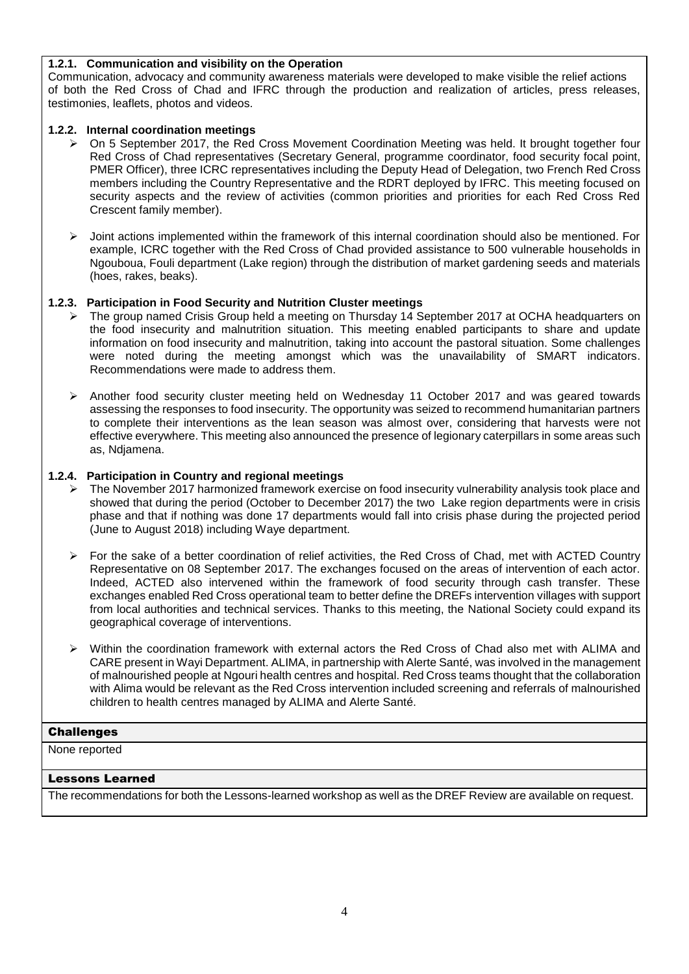## **1.2.1. Communication and visibility on the Operation**

Communication, advocacy and community awareness materials were developed to make visible the relief actions of both the Red Cross of Chad and IFRC through the production and realization of articles, press releases, testimonies, leaflets, photos and videos.

## **1.2.2. Internal coordination meetings**

- ➢ On 5 September 2017, the Red Cross Movement Coordination Meeting was held. It brought together four Red Cross of Chad representatives (Secretary General, programme coordinator, food security focal point, PMER Officer), three ICRC representatives including the Deputy Head of Delegation, two French Red Cross members including the Country Representative and the RDRT deployed by IFRC. This meeting focused on security aspects and the review of activities (common priorities and priorities for each Red Cross Red Crescent family member).
- ➢ Joint actions implemented within the framework of this internal coordination should also be mentioned. For example, ICRC together with the Red Cross of Chad provided assistance to 500 vulnerable households in Ngouboua, Fouli department (Lake region) through the distribution of market gardening seeds and materials (hoes, rakes, beaks).

### **1.2.3. Participation in Food Security and Nutrition Cluster meetings**

- The group named Crisis Group held a meeting on Thursday 14 September 2017 at OCHA headquarters on the food insecurity and malnutrition situation. This meeting enabled participants to share and update information on food insecurity and malnutrition, taking into account the pastoral situation. Some challenges were noted during the meeting amongst which was the unavailability of SMART indicators. Recommendations were made to address them.
- ➢ Another food security cluster meeting held on Wednesday 11 October 2017 and was geared towards assessing the responses to food insecurity. The opportunity was seized to recommend humanitarian partners to complete their interventions as the lean season was almost over, considering that harvests were not effective everywhere. This meeting also announced the presence of legionary caterpillars in some areas such as, Ndjamena.

### **1.2.4. Participation in Country and regional meetings**

- ➢ The November 2017 harmonized framework exercise on food insecurity vulnerability analysis took place and showed that during the period (October to December 2017) the two Lake region departments were in crisis phase and that if nothing was done 17 departments would fall into crisis phase during the projected period (June to August 2018) including Waye department.
- ➢ For the sake of a better coordination of relief activities, the Red Cross of Chad, met with ACTED Country Representative on 08 September 2017. The exchanges focused on the areas of intervention of each actor. Indeed, ACTED also intervened within the framework of food security through cash transfer. These exchanges enabled Red Cross operational team to better define the DREFs intervention villages with support from local authorities and technical services. Thanks to this meeting, the National Society could expand its geographical coverage of interventions.
- ➢ Within the coordination framework with external actors the Red Cross of Chad also met with ALIMA and CARE present in Wayi Department. ALIMA, in partnership with Alerte Santé, was involved in the management of malnourished people at Ngouri health centres and hospital. Red Cross teams thought that the collaboration with Alima would be relevant as the Red Cross intervention included screening and referrals of malnourished children to health centres managed by ALIMA and Alerte Santé.

#### **Challenges**

None reported

#### Lessons Learned

The recommendations for both the Lessons-learned workshop as well as the DREF Review are available on request.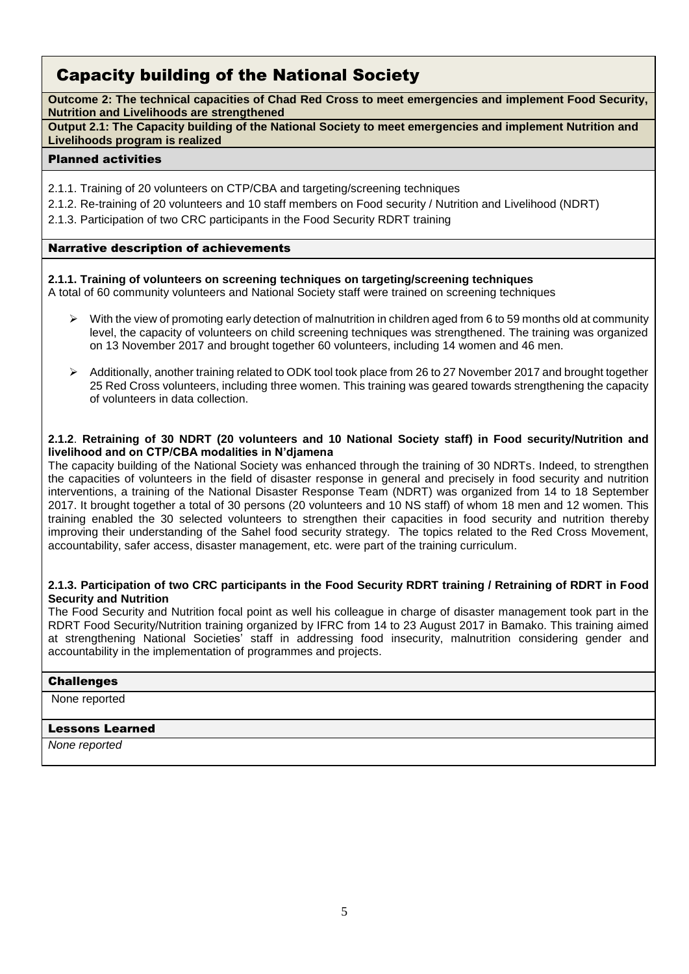# Capacity building of the National Society

**Outcome 2: The technical capacities of Chad Red Cross to meet emergencies and implement Food Security, Nutrition and Livelihoods are strengthened**

**Output 2.1: The Capacity building of the National Society to meet emergencies and implement Nutrition and Livelihoods program is realized**

## Planned activities

- 2.1.1. Training of 20 volunteers on CTP/CBA and targeting/screening techniques
- 2.1.2. Re-training of 20 volunteers and 10 staff members on Food security / Nutrition and Livelihood (NDRT)
- 2.1.3. Participation of two CRC participants in the Food Security RDRT training

## Narrative description of achievements

## **2.1.1. Training of volunteers on screening techniques on targeting/screening techniques**

A total of 60 community volunteers and National Society staff were trained on screening techniques

- $\triangleright$  With the view of promoting early detection of malnutrition in children aged from 6 to 59 months old at community level, the capacity of volunteers on child screening techniques was strengthened. The training was organized on 13 November 2017 and brought together 60 volunteers, including 14 women and 46 men.
- ➢ Additionally, another training related to ODK tool took place from 26 to 27 November 2017 and brought together 25 Red Cross volunteers, including three women. This training was geared towards strengthening the capacity of volunteers in data collection.

## **2.1.2**. **Retraining of 30 NDRT (20 volunteers and 10 National Society staff) in Food security/Nutrition and livelihood and on CTP/CBA modalities in N'djamena**

The capacity building of the National Society was enhanced through the training of 30 NDRTs. Indeed, to strengthen the capacities of volunteers in the field of disaster response in general and precisely in food security and nutrition interventions, a training of the National Disaster Response Team (NDRT) was organized from 14 to 18 September 2017. It brought together a total of 30 persons (20 volunteers and 10 NS staff) of whom 18 men and 12 women. This training enabled the 30 selected volunteers to strengthen their capacities in food security and nutrition thereby improving their understanding of the Sahel food security strategy. The topics related to the Red Cross Movement, accountability, safer access, disaster management, etc. were part of the training curriculum.

### **2.1.3. Participation of two CRC participants in the Food Security RDRT training / Retraining of RDRT in Food Security and Nutrition**

The Food Security and Nutrition focal point as well his colleague in charge of disaster management took part in the RDRT Food Security/Nutrition training organized by IFRC from 14 to 23 August 2017 in Bamako. This training aimed at strengthening National Societies' staff in addressing food insecurity, malnutrition considering gender and accountability in the implementation of programmes and projects.

## **Challenges**

None reported

## Lessons Learned

*None reported*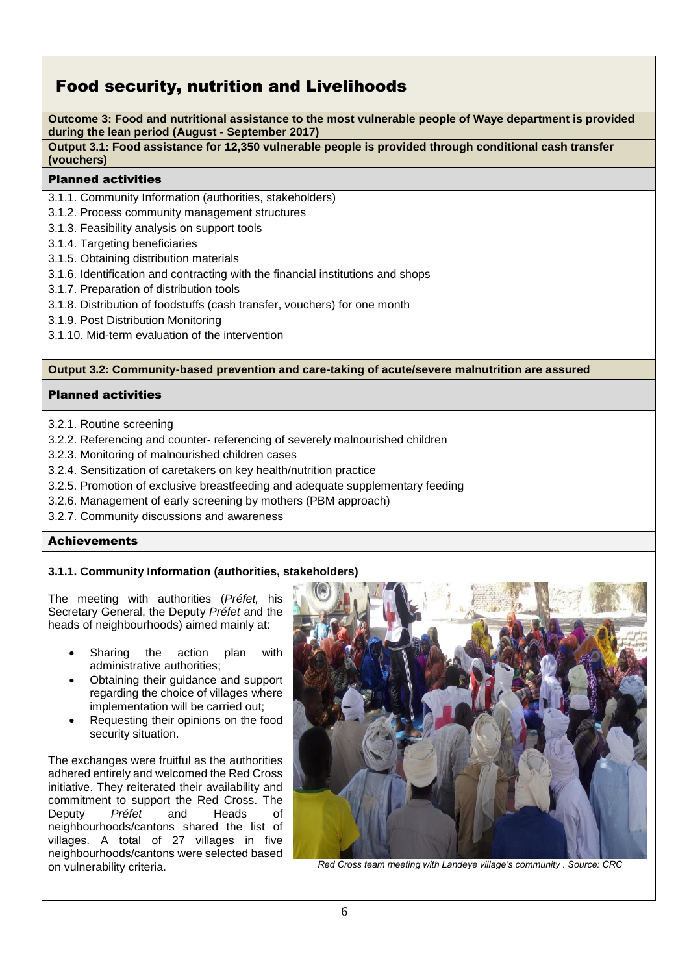# Food security, nutrition and Livelihoods

**Outcome 3: Food and nutritional assistance to the most vulnerable people of Waye department is provided during the lean period (August - September 2017)**

**Output 3.1: Food assistance for 12,350 vulnerable people is provided through conditional cash transfer (vouchers)**

## Planned activities

- 3.1.1. Community Information (authorities, stakeholders)
- 3.1.2. Process community management structures
- 3.1.3. Feasibility analysis on support tools
- 3.1.4. Targeting beneficiaries
- 3.1.5. Obtaining distribution materials
- 3.1.6. Identification and contracting with the financial institutions and shops
- 3.1.7. Preparation of distribution tools
- 3.1.8. Distribution of foodstuffs (cash transfer, vouchers) for one month
- 3.1.9. Post Distribution Monitoring
- 3.1.10. Mid-term evaluation of the intervention

## **Output 3.2: Community-based prevention and care-taking of acute/severe malnutrition are assured**

## Planned activities

- 3.2.1. Routine screening
- 3.2.2. Referencing and counter- referencing of severely malnourished children
- 3.2.3. Monitoring of malnourished children cases
- 3.2.4. Sensitization of caretakers on key health/nutrition practice
- 3.2.5. Promotion of exclusive breastfeeding and adequate supplementary feeding
- 3.2.6. Management of early screening by mothers (PBM approach)
- 3.2.7. Community discussions and awareness

## **Achievements**

## **3.1.1. Community Information (authorities, stakeholders)**

The meeting with authorities (*Préfet,* his Secretary General, the Deputy *Préfet* and the heads of neighbourhoods) aimed mainly at:

- Sharing the action plan with administrative authorities;
- Obtaining their guidance and support regarding the choice of villages where implementation will be carried out;
- Requesting their opinions on the food security situation.

The exchanges were fruitful as the authorities adhered entirely and welcomed the Red Cross initiative. They reiterated their availability and commitment to support the Red Cross. The Deputy *Préfet* and Heads of neighbourhoods/cantons shared the list of villages. A total of 27 villages in five neighbourhoods/cantons were selected based



on vulnerability criteria. *Red Cross team meeting with Landeye village's community . Source: CRC*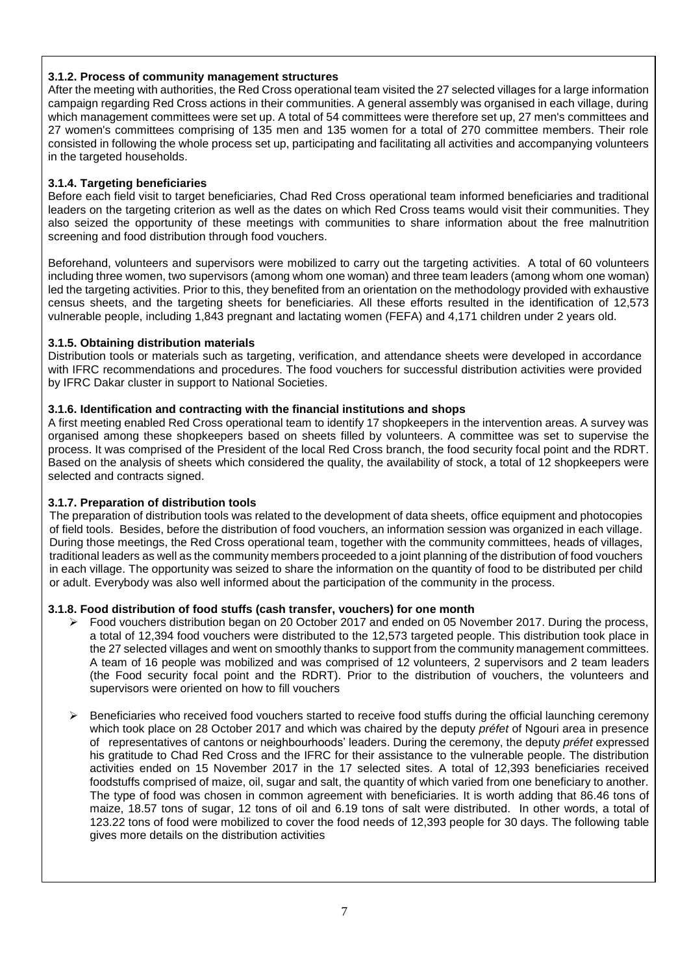## **3.1.2. Process of community management structures**

After the meeting with authorities, the Red Cross operational team visited the 27 selected villages for a large information campaign regarding Red Cross actions in their communities. A general assembly was organised in each village, during which management committees were set up. A total of 54 committees were therefore set up, 27 men's committees and 27 women's committees comprising of 135 men and 135 women for a total of 270 committee members. Their role consisted in following the whole process set up, participating and facilitating all activities and accompanying volunteers in the targeted households.

## **3.1.4. Targeting beneficiaries**

Before each field visit to target beneficiaries, Chad Red Cross operational team informed beneficiaries and traditional leaders on the targeting criterion as well as the dates on which Red Cross teams would visit their communities. They also seized the opportunity of these meetings with communities to share information about the free malnutrition screening and food distribution through food vouchers.

Beforehand, volunteers and supervisors were mobilized to carry out the targeting activities. A total of 60 volunteers including three women, two supervisors (among whom one woman) and three team leaders (among whom one woman) led the targeting activities. Prior to this, they benefited from an orientation on the methodology provided with exhaustive census sheets, and the targeting sheets for beneficiaries. All these efforts resulted in the identification of 12,573 vulnerable people, including 1,843 pregnant and lactating women (FEFA) and 4,171 children under 2 years old.

## **3.1.5. Obtaining distribution materials**

Distribution tools or materials such as targeting, verification, and attendance sheets were developed in accordance with IFRC recommendations and procedures. The food vouchers for successful distribution activities were provided by IFRC Dakar cluster in support to National Societies.

## **3.1.6. Identification and contracting with the financial institutions and shops**

A first meeting enabled Red Cross operational team to identify 17 shopkeepers in the intervention areas. A survey was organised among these shopkeepers based on sheets filled by volunteers. A committee was set to supervise the process. It was comprised of the President of the local Red Cross branch, the food security focal point and the RDRT. Based on the analysis of sheets which considered the quality, the availability of stock, a total of 12 shopkeepers were selected and contracts signed.

## **3.1.7. Preparation of distribution tools**

The preparation of distribution tools was related to the development of data sheets, office equipment and photocopies of field tools. Besides, before the distribution of food vouchers, an information session was organized in each village. During those meetings, the Red Cross operational team, together with the community committees, heads of villages, traditional leaders as well as the community members proceeded to a joint planning of the distribution of food vouchers in each village. The opportunity was seized to share the information on the quantity of food to be distributed per child or adult. Everybody was also well informed about the participation of the community in the process.

## **3.1.8. Food distribution of food stuffs (cash transfer, vouchers) for one month**

- ➢ Food vouchers distribution began on 20 October 2017 and ended on 05 November 2017. During the process, a total of 12,394 food vouchers were distributed to the 12,573 targeted people. This distribution took place in the 27 selected villages and went on smoothly thanks to support from the community management committees. A team of 16 people was mobilized and was comprised of 12 volunteers, 2 supervisors and 2 team leaders (the Food security focal point and the RDRT). Prior to the distribution of vouchers, the volunteers and supervisors were oriented on how to fill vouchers
- ➢ Beneficiaries who received food vouchers started to receive food stuffs during the official launching ceremony which took place on 28 October 2017 and which was chaired by the deputy *préfet* of Ngouri area in presence of representatives of cantons or neighbourhoods' leaders. During the ceremony, the deputy *préfet* expressed his gratitude to Chad Red Cross and the IFRC for their assistance to the vulnerable people. The distribution activities ended on 15 November 2017 in the 17 selected sites. A total of 12,393 beneficiaries received foodstuffs comprised of maize, oil, sugar and salt, the quantity of which varied from one beneficiary to another. The type of food was chosen in common agreement with beneficiaries. It is worth adding that 86.46 tons of maize, 18.57 tons of sugar, 12 tons of oil and 6.19 tons of salt were distributed. In other words, a total of 123.22 tons of food were mobilized to cover the food needs of 12,393 people for 30 days. The following table gives more details on the distribution activities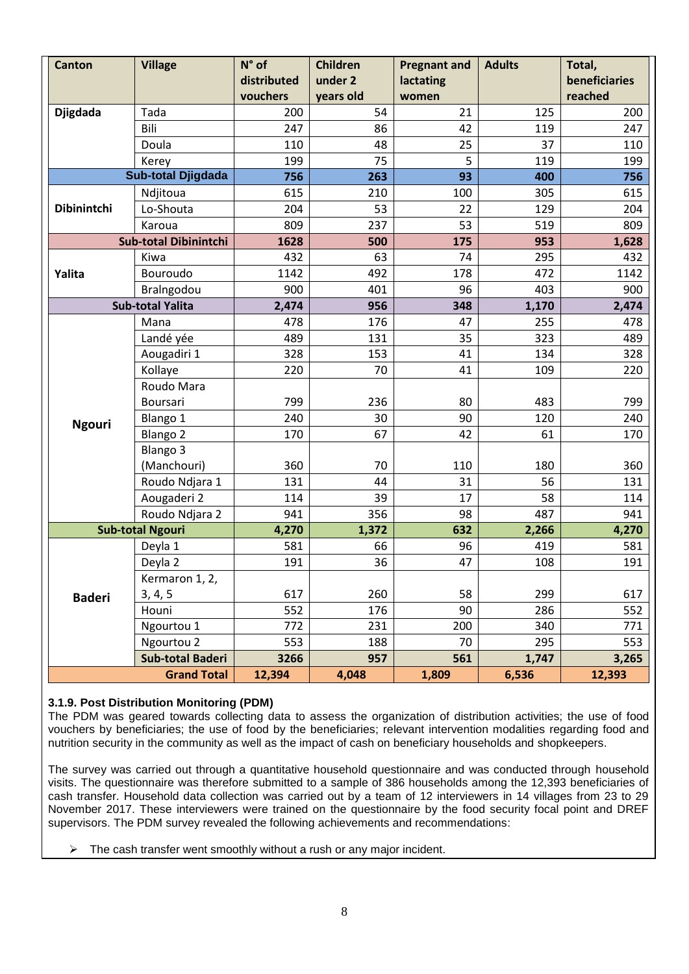| <b>Canton</b>      | <b>Village</b>               | N° of       | <b>Children</b> | <b>Pregnant and</b> | <b>Adults</b> | Total,        |
|--------------------|------------------------------|-------------|-----------------|---------------------|---------------|---------------|
|                    |                              | distributed | under 2         | lactating           |               | beneficiaries |
|                    |                              | vouchers    | years old       | women               |               | reached       |
| <b>Djigdada</b>    | Tada                         | 200         | 54              | 21                  | 125           | 200           |
|                    | Bili                         | 247         | 86              | 42                  | 119           | 247           |
|                    | Doula                        | 110         | 48              | 25                  | 37            | 110           |
|                    | Kerey                        | 199         | 75              | 5                   | 119           | 199           |
|                    | <b>Sub-total Djigdada</b>    | 756         | 263             | 93                  | 400           | 756           |
|                    | Ndjitoua                     | 615         | 210             | 100                 | 305           | 615           |
| <b>Dibinintchi</b> | Lo-Shouta                    | 204         | 53              | 22                  | 129           | 204           |
|                    | Karoua                       | 809         | 237             | 53                  | 519           | 809           |
|                    | <b>Sub-total Dibinintchi</b> | 1628        | 500             | 175                 | 953           | 1,628         |
|                    | Kiwa                         | 432         | 63              | 74                  | 295           | 432           |
| Yalita             | Bouroudo                     | 1142        | 492             | 178                 | 472           | 1142          |
|                    | Bralngodou                   | 900         | 401             | 96                  | 403           | 900           |
|                    | <b>Sub-total Yalita</b>      | 2,474       | 956             | 348                 | 1,170         | 2,474         |
|                    | Mana                         | 478         | 176             | 47                  | 255           | 478           |
|                    | Landé yée                    | 489         | 131             | 35                  | 323           | 489           |
|                    | Aougadiri 1                  | 328         | 153             | 41                  | 134           | 328           |
|                    | Kollaye                      | 220         | 70              | 41                  | 109           | 220           |
|                    | Roudo Mara                   |             |                 |                     |               |               |
|                    | Boursari                     | 799         | 236             | 80                  | 483           | 799           |
| <b>Ngouri</b>      | Blango 1                     | 240         | 30              | 90                  | 120           | 240           |
|                    | Blango 2                     | 170         | 67              | 42                  | 61            | 170           |
|                    | <b>Blango 3</b>              |             |                 |                     |               |               |
|                    | (Manchouri)                  | 360         | 70              | 110                 | 180           | 360           |
|                    | Roudo Ndjara 1               | 131         | 44              | 31                  | 56            | 131           |
|                    | Aougaderi 2                  | 114         | 39              | 17                  | 58            | 114           |
|                    | Roudo Ndjara 2               | 941         | 356             | 98                  | 487           | 941           |
|                    | <b>Sub-total Ngouri</b>      | 4,270       | 1,372           | 632                 | 2,266         | 4,270         |
|                    | Deyla 1                      | 581         | 66              | 96                  | 419           | 581           |
|                    | Deyla 2                      | 191         | 36              | 47                  | 108           | 191           |
|                    | Kermaron 1, 2,               |             |                 |                     |               |               |
| <b>Baderi</b>      | 3, 4, 5                      | 617         | 260             | 58                  | 299           | 617           |
|                    | Houni                        | 552         | 176             | 90                  | 286           | 552           |
|                    | Ngourtou 1                   | 772         | 231             | 200                 | 340           | 771           |
|                    | Ngourtou 2                   | 553         | 188             | 70                  | 295           | 553           |
|                    | <b>Sub-total Baderi</b>      | 3266        | 957             | 561                 | 1,747         | 3,265         |
|                    | <b>Grand Total</b>           | 12,394      | 4,048           | 1,809               | 6,536         | 12,393        |

## **3.1.9. Post Distribution Monitoring (PDM)**

The PDM was geared towards collecting data to assess the organization of distribution activities; the use of food vouchers by beneficiaries; the use of food by the beneficiaries; relevant intervention modalities regarding food and nutrition security in the community as well as the impact of cash on beneficiary households and shopkeepers.

The survey was carried out through a quantitative household questionnaire and was conducted through household visits. The questionnaire was therefore submitted to a sample of 386 households among the 12,393 beneficiaries of cash transfer. Household data collection was carried out by a team of 12 interviewers in 14 villages from 23 to 29 November 2017. These interviewers were trained on the questionnaire by the food security focal point and DREF supervisors. The PDM survey revealed the following achievements and recommendations:

 $\triangleright$  The cash transfer went smoothly without a rush or any major incident.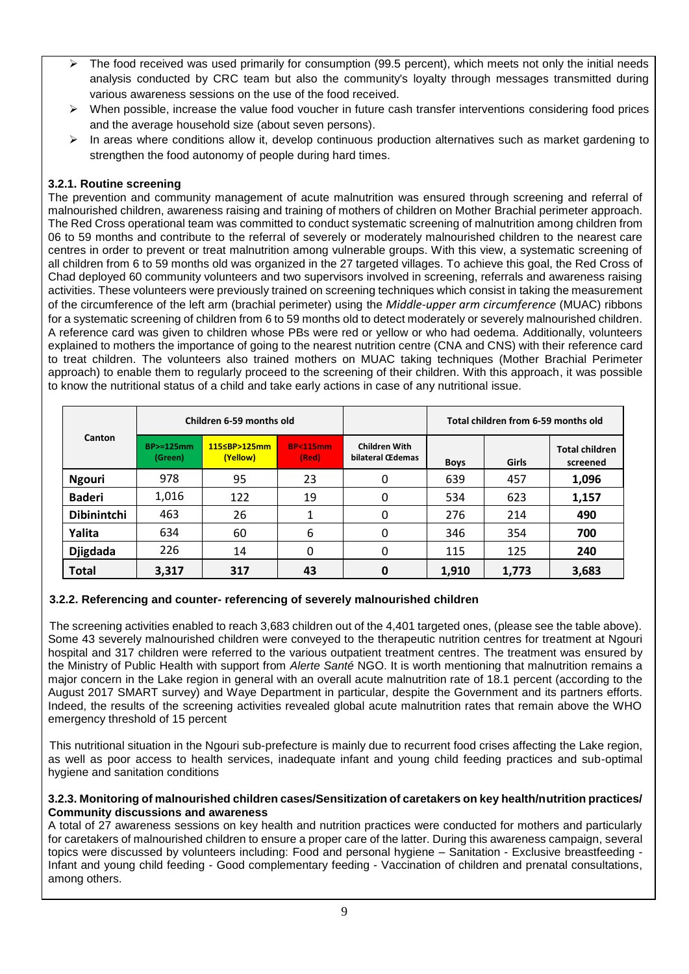- ➢ The food received was used primarily for consumption (99.5 percent), which meets not only the initial needs analysis conducted by CRC team but also the community's loyalty through messages transmitted during various awareness sessions on the use of the food received.
- ➢ When possible, increase the value food voucher in future cash transfer interventions considering food prices and the average household size (about seven persons).
- In areas where conditions allow it, develop continuous production alternatives such as market gardening to strengthen the food autonomy of people during hard times.

## **3.2.1. Routine screening**

The prevention and community management of acute malnutrition was ensured through screening and referral of malnourished children, awareness raising and training of mothers of children on Mother Brachial perimeter approach. The Red Cross operational team was committed to conduct systematic screening of malnutrition among children from 06 to 59 months and contribute to the referral of severely or moderately malnourished children to the nearest care centres in order to prevent or treat malnutrition among vulnerable groups. With this view, a systematic screening of all children from 6 to 59 months old was organized in the 27 targeted villages. To achieve this goal, the Red Cross of Chad deployed 60 community volunteers and two supervisors involved in screening, referrals and awareness raising activities. These volunteers were previously trained on screening techniques which consist in taking the measurement of the circumference of the left arm (brachial perimeter) using the *Middle-upper arm circumference* (MUAC) ribbons for a systematic screening of children from 6 to 59 months old to detect moderately or severely malnourished children. A reference card was given to children whose PBs were red or yellow or who had oedema. Additionally, volunteers explained to mothers the importance of going to the nearest nutrition centre (CNA and CNS) with their reference card to treat children. The volunteers also trained mothers on MUAC taking techniques (Mother Brachial Perimeter approach) to enable them to regularly proceed to the screening of their children. With this approach, it was possible to know the nutritional status of a child and take early actions in case of any nutritional issue.

|                    | Children 6-59 months old |                             |                             |                                                 | Total children from 6-59 months old |       |                                   |  |
|--------------------|--------------------------|-----------------------------|-----------------------------|-------------------------------------------------|-------------------------------------|-------|-----------------------------------|--|
| <b>Canton</b>      | BP>=125mm<br>(Green)     | 115 SBP > 125mm<br>(Yellow) | <b>BP&lt;115mm</b><br>(Red) | <b>Children With</b><br>bilateral <b>Œdemas</b> | <b>Boys</b>                         | Girls | <b>Total children</b><br>screened |  |
| <b>Ngouri</b>      | 978                      | 95                          | 23                          | 0                                               | 639                                 | 457   | 1,096                             |  |
| <b>Baderi</b>      | 1,016                    | 122                         | 19                          | 0                                               | 534                                 | 623   | 1,157                             |  |
| <b>Dibinintchi</b> | 463                      | 26                          |                             | 0                                               | 276                                 | 214   | 490                               |  |
| Yalita             | 634                      | 60                          | 6                           | 0                                               | 346                                 | 354   | 700                               |  |
| <b>Djigdada</b>    | 226                      | 14                          | 0                           | 0                                               | 115                                 | 125   | 240                               |  |
| <b>Total</b>       | 3,317                    | 317                         | 43                          | 0                                               | 1,910                               | 1,773 | 3,683                             |  |

## **3.2.2. Referencing and counter- referencing of severely malnourished children**

The screening activities enabled to reach 3,683 children out of the 4,401 targeted ones, (please see the table above). Some 43 severely malnourished children were conveyed to the therapeutic nutrition centres for treatment at Ngouri hospital and 317 children were referred to the various outpatient treatment centres. The treatment was ensured by the Ministry of Public Health with support from *Alerte Santé* NGO. It is worth mentioning that malnutrition remains a major concern in the Lake region in general with an overall acute malnutrition rate of 18.1 percent (according to the August 2017 SMART survey) and Waye Department in particular, despite the Government and its partners efforts. Indeed, the results of the screening activities revealed global acute malnutrition rates that remain above the WHO emergency threshold of 15 percent

This nutritional situation in the Ngouri sub-prefecture is mainly due to recurrent food crises affecting the Lake region, as well as poor access to health services, inadequate infant and young child feeding practices and sub-optimal hygiene and sanitation conditions

## **3.2.3. Monitoring of malnourished children cases/Sensitization of caretakers on key health/nutrition practices/ Community discussions and awareness**

A total of 27 awareness sessions on key health and nutrition practices were conducted for mothers and particularly for caretakers of malnourished children to ensure a proper care of the latter. During this awareness campaign, several topics were discussed by volunteers including: Food and personal hygiene – Sanitation - Exclusive breastfeeding - Infant and young child feeding - Good complementary feeding - Vaccination of children and prenatal consultations, among others.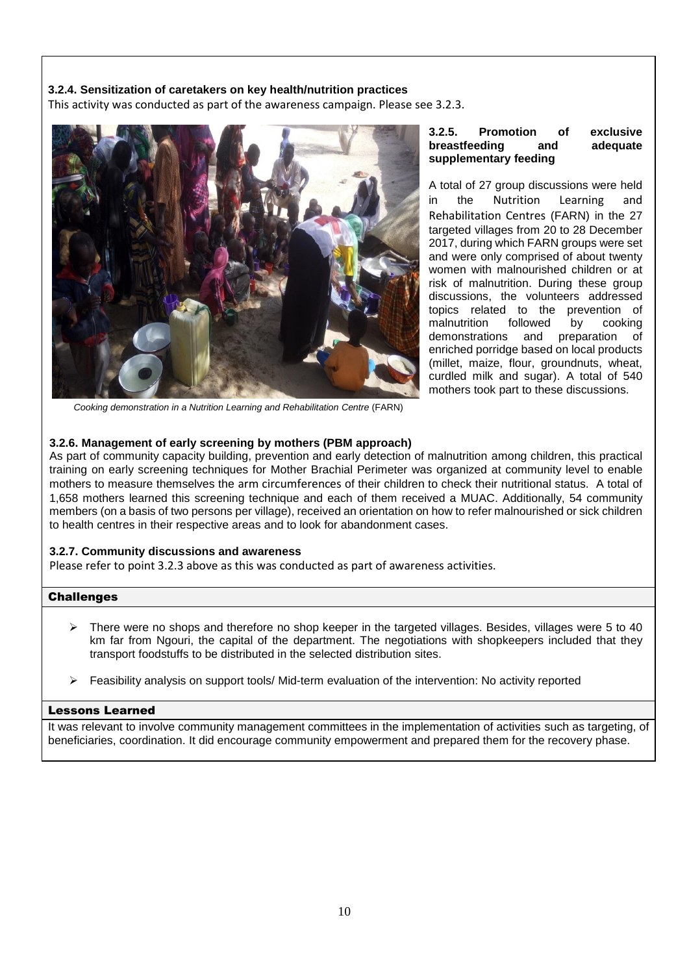## **3.2.4. Sensitization of caretakers on key health/nutrition practices**

This activity was conducted as part of the awareness campaign. Please see 3.2.3.



*Cooking demonstration in a Nutrition Learning and Rehabilitation Centre* (FARN)

#### **3.2.5. Promotion of exclusive breastfeeding and adequate supplementary feeding**

A total of 27 group discussions were held in the Nutrition Learning and Rehabilitation Centres (FARN) in the 27 targeted villages from 20 to 28 December 2017, during which FARN groups were set and were only comprised of about twenty women with malnourished children or at risk of malnutrition. During these group discussions, the volunteers addressed topics related to the prevention of<br>malnutrition followed by cooking malnutrition followed by demonstrations and preparation of enriched porridge based on local products (millet, maize, flour, groundnuts, wheat, curdled milk and sugar). A total of 540 mothers took part to these discussions.

## **3.2.6. Management of early screening by mothers (PBM approach)**

As part of community capacity building, prevention and early detection of malnutrition among children, this practical training on early screening techniques for Mother Brachial Perimeter was organized at community level to enable mothers to measure themselves the arm circumferences of their children to check their nutritional status. A total of 1,658 mothers learned this screening technique and each of them received a MUAC. Additionally, 54 community members (on a basis of two persons per village), received an orientation on how to refer malnourished or sick children to health centres in their respective areas and to look for abandonment cases.

## **3.2.7. Community discussions and awareness**

Please refer to point 3.2.3 above as this was conducted as part of awareness activities.

## Challenges

- ➢ There were no shops and therefore no shop keeper in the targeted villages. Besides, villages were 5 to 40 km far from Ngouri, the capital of the department. The negotiations with shopkeepers included that they transport foodstuffs to be distributed in the selected distribution sites.
- ➢ Feasibility analysis on support tools/ Mid-term evaluation of the intervention: No activity reported

## Lessons Learned

It was relevant to involve community management committees in the implementation of activities such as targeting, of beneficiaries, coordination. It did encourage community empowerment and prepared them for the recovery phase.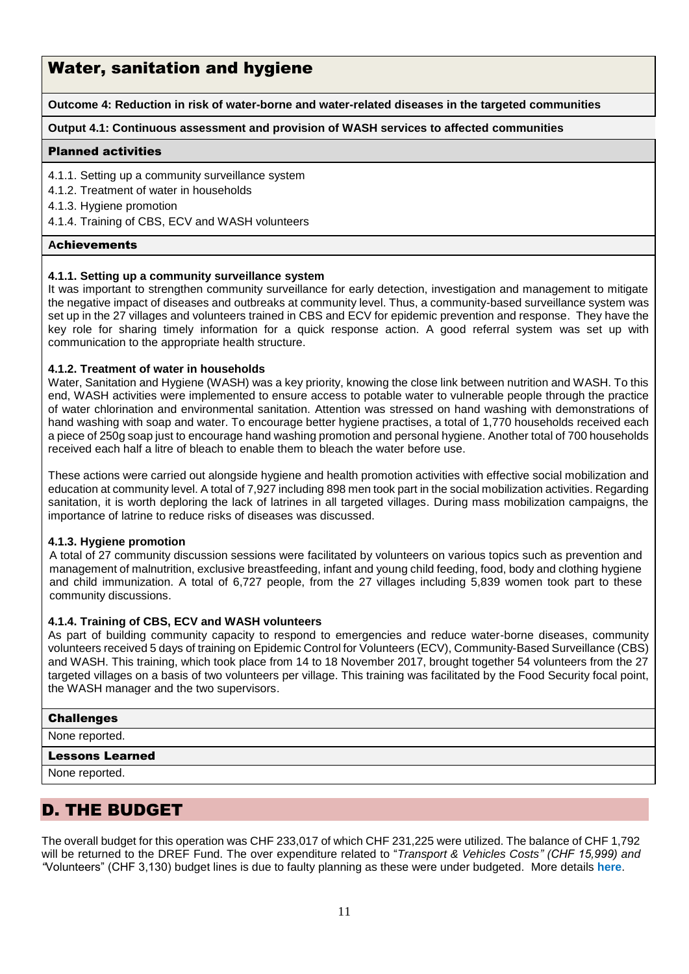# Water, sanitation and hygiene

**Outcome 4: Reduction in risk of water-borne and water-related diseases in the targeted communities**

#### **Output 4.1: Continuous assessment and provision of WASH services to affected communities**

#### Planned activities

- 4.1.1. Setting up a community surveillance system
- 4.1.2. Treatment of water in households
- 4.1.3. Hygiene promotion
- 4.1.4. Training of CBS, ECV and WASH volunteers

#### **A**chievements

### **4.1.1. Setting up a community surveillance system**

It was important to strengthen community surveillance for early detection, investigation and management to mitigate the negative impact of diseases and outbreaks at community level. Thus, a community-based surveillance system was set up in the 27 villages and volunteers trained in CBS and ECV for epidemic prevention and response. They have the key role for sharing timely information for a quick response action. A good referral system was set up with communication to the appropriate health structure.

### **4.1.2. Treatment of water in households**

Water, Sanitation and Hygiene (WASH) was a key priority, knowing the close link between nutrition and WASH. To this end, WASH activities were implemented to ensure access to potable water to vulnerable people through the practice of water chlorination and environmental sanitation. Attention was stressed on hand washing with demonstrations of hand washing with soap and water. To encourage better hygiene practises, a total of 1,770 households received each a piece of 250g soap just to encourage hand washing promotion and personal hygiene. Another total of 700 households received each half a litre of bleach to enable them to bleach the water before use.

These actions were carried out alongside hygiene and health promotion activities with effective social mobilization and education at community level. A total of 7,927 including 898 men took part in the social mobilization activities. Regarding sanitation, it is worth deploring the lack of latrines in all targeted villages. During mass mobilization campaigns, the importance of latrine to reduce risks of diseases was discussed.

## **4.1.3. Hygiene promotion**

A total of 27 community discussion sessions were facilitated by volunteers on various topics such as prevention and management of malnutrition, exclusive breastfeeding, infant and young child feeding, food, body and clothing hygiene and child immunization. A total of 6,727 people, from the 27 villages including 5,839 women took part to these community discussions.

## **4.1.4. Training of CBS, ECV and WASH volunteers**

As part of building community capacity to respond to emergencies and reduce water-borne diseases, community volunteers received 5 days of training on Epidemic Control for Volunteers (ECV), Community-Based Surveillance (CBS) and WASH. This training, which took place from 14 to 18 November 2017, brought together 54 volunteers from the 27 targeted villages on a basis of two volunteers per village. This training was facilitated by the Food Security focal point, the WASH manager and the two supervisors.

#### Challenges

None reported.

#### Lessons Learned

None reported.

# D. THE BUDGET

The overall budget for this operation was CHF 233,017 of which CHF 231,225 were utilized. The balance of CHF 1,792 will be returned to the DREF Fund. The over expenditure related to "*Transport & Vehicles Costs" (CHF 15,999) and "*Volunteers" (CHF 3,130) budget lines is due to faulty planning as these were under budgeted. More details **[here](#page-12-0)**.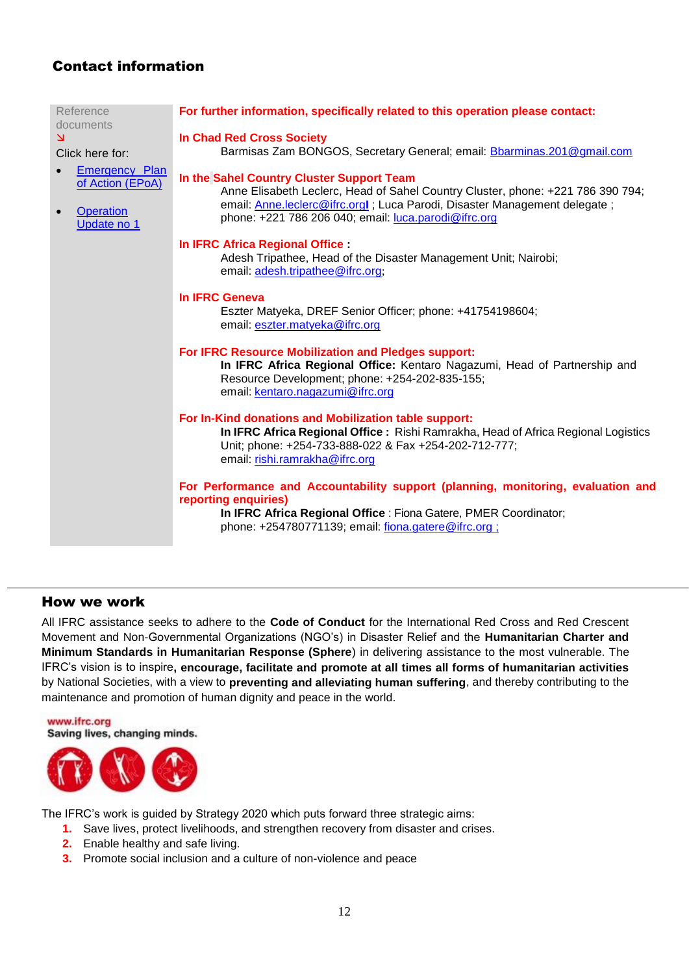# Contact information

| Reference<br>documents                                                                    | For further information, specifically related to this operation please contact:                                                                                                                                                                                           |
|-------------------------------------------------------------------------------------------|---------------------------------------------------------------------------------------------------------------------------------------------------------------------------------------------------------------------------------------------------------------------------|
| $\overline{\mathsf{K}}$<br>Click here for:                                                | <b>In Chad Red Cross Society</b><br>Barmisas Zam BONGOS, Secretary General; email: Bbarminas.201@gmail.com                                                                                                                                                                |
| <b>Emergency Plan</b><br>of Action (EPoA)<br><b>Operation</b><br>$\bullet$<br>Update no 1 | In the Sahel Country Cluster Support Team<br>Anne Elisabeth Leclerc, Head of Sahel Country Cluster, phone: +221 786 390 794;<br>email: <b>Anne.leclerc@ifrc.orgl</b> ; Luca Parodi, Disaster Management delegate;<br>phone: +221 786 206 040; email: luca.parodi@ifrc.org |
|                                                                                           | In IFRC Africa Regional Office:<br>Adesh Tripathee, Head of the Disaster Management Unit; Nairobi;<br>email: adesh.tripathee@ifrc.org;                                                                                                                                    |
|                                                                                           | <b>In IFRC Geneva</b><br>Eszter Matyeka, DREF Senior Officer; phone: +41754198604;<br>email: eszter.matyeka@ifrc.org                                                                                                                                                      |
|                                                                                           | For IFRC Resource Mobilization and Pledges support:<br>In IFRC Africa Regional Office: Kentaro Nagazumi, Head of Partnership and<br>Resource Development; phone: +254-202-835-155;<br>email: kentaro.nagazumi@ifrc.org                                                    |
|                                                                                           | For In-Kind donations and Mobilization table support:<br>In IFRC Africa Regional Office: Rishi Ramrakha, Head of Africa Regional Logistics<br>Unit; phone: +254-733-888-022 & Fax +254-202-712-777;<br>email: rishi.ramrakha@ifrc.org                                     |
|                                                                                           | For Performance and Accountability support (planning, monitoring, evaluation and<br>reporting enquiries)<br>In IFRC Africa Regional Office : Fiona Gatere, PMER Coordinator;<br>phone: +254780771139; email: fiona.gatere@ifrc.org;                                       |

## How we work

All IFRC assistance seeks to adhere to the **Code of Conduct** for the International Red Cross and Red Crescent Movement and Non-Governmental Organizations (NGO's) in Disaster Relief and the **Humanitarian Charter and Minimum Standards in Humanitarian Response (Sphere**) in delivering assistance to the most vulnerable. The IFRC's vision is to inspire**, encourage, facilitate and promote at all times all forms of humanitarian activities** by National Societies, with a view to **preventing and alleviating human suffering**, and thereby contributing to the maintenance and promotion of human dignity and peace in the world.

www.ifrc.org Saving lives, changing minds.



The IFRC's work is guided by Strategy 2020 which puts forward three strategic aims:

- **1.** Save lives, protect livelihoods, and strengthen recovery from disaster and crises.
- **2.** Enable healthy and safe living.
- **3.** Promote social inclusion and a culture of non-violence and peace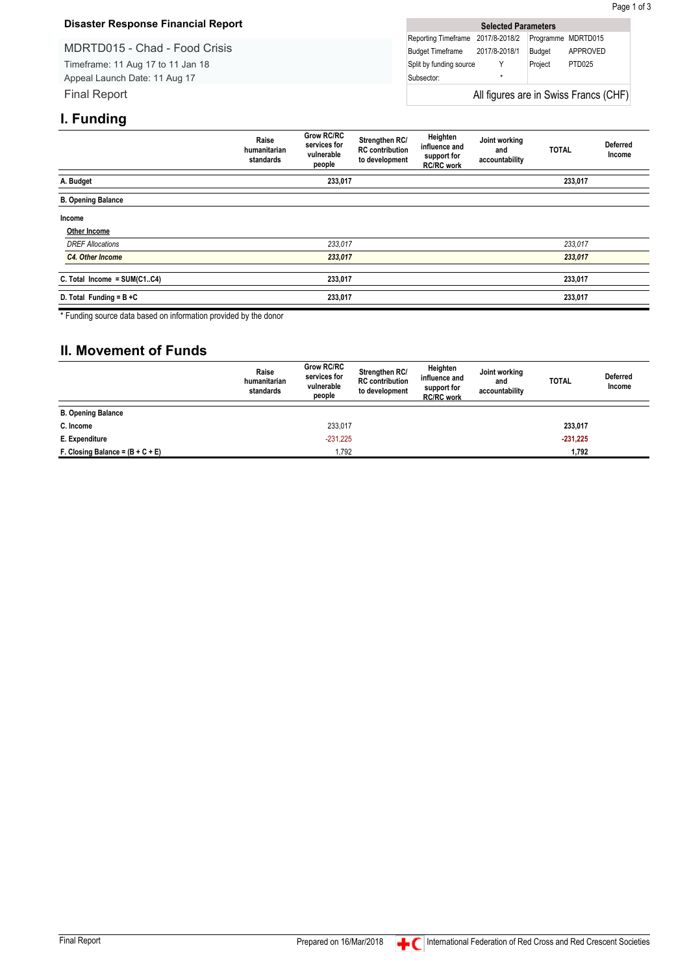## <span id="page-12-0"></span>**Disaster Response Financial Report**

## MDRTD015 - Chad - Food Crisis

Timeframe: 11 Aug 17 to 11 Jan 18 Appeal Launch Date: 11 Aug 17 Final Report

| <b>Selected Parameters</b>            |   |         |                    |  |  |  |  |  |
|---------------------------------------|---|---------|--------------------|--|--|--|--|--|
| Reporting Timeframe 2017/8-2018/2     |   |         | Programme MDRTD015 |  |  |  |  |  |
| Budget Timeframe 2017/8-2018/1        |   | Budget  | APPROVED           |  |  |  |  |  |
| Split by funding source               |   | Project | PTD025             |  |  |  |  |  |
| Subsector:                            | ÷ |         |                    |  |  |  |  |  |
| All figures are in Swiss Francs (CHF) |   |         |                    |  |  |  |  |  |

# **I. Funding**

|                                | Raise<br>humanitarian<br>standards | <b>Grow RC/RC</b><br>services for<br>vulnerable<br>people | Strengthen RC/<br><b>RC</b> contribution<br>to development | Heighten<br>influence and<br>support for<br><b>RC/RC work</b> | Joint working<br>and<br>accountability | <b>TOTAL</b> | Deferred<br>Income |
|--------------------------------|------------------------------------|-----------------------------------------------------------|------------------------------------------------------------|---------------------------------------------------------------|----------------------------------------|--------------|--------------------|
| A. Budget                      |                                    | 233,017                                                   |                                                            |                                                               |                                        | 233,017      |                    |
| <b>B. Opening Balance</b>      |                                    |                                                           |                                                            |                                                               |                                        |              |                    |
| Income                         |                                    |                                                           |                                                            |                                                               |                                        |              |                    |
| Other Income                   |                                    |                                                           |                                                            |                                                               |                                        |              |                    |
| <b>DREF Allocations</b>        |                                    | 233,017                                                   |                                                            |                                                               |                                        | 233,017      |                    |
| C4. Other Income               |                                    | 233,017                                                   |                                                            |                                                               |                                        | 233,017      |                    |
| C. Total Income = $SUM(C1.C4)$ |                                    | 233,017                                                   |                                                            |                                                               |                                        | 233,017      |                    |
| D. Total Funding = $B + C$     |                                    | 233,017                                                   |                                                            |                                                               |                                        | 233,017      |                    |

\* Funding source data based on information provided by the donor

## **II. Movement of Funds**

|                                    | Raise<br>humanitarian<br>standards | <b>Grow RC/RC</b><br>services for<br>vulnerable<br>people | Strengthen RC/<br><b>RC</b> contribution<br>to development | Heighten<br>influence and<br>support for<br><b>RC/RC</b> work | Joint working<br>and<br>accountability | <b>TOTAL</b> | <b>Deferred</b><br>Income |
|------------------------------------|------------------------------------|-----------------------------------------------------------|------------------------------------------------------------|---------------------------------------------------------------|----------------------------------------|--------------|---------------------------|
| <b>B. Opening Balance</b>          |                                    |                                                           |                                                            |                                                               |                                        |              |                           |
| C. Income                          |                                    | 233,017                                                   |                                                            |                                                               |                                        | 233,017      |                           |
| E. Expenditure                     |                                    | $-231.225$                                                |                                                            |                                                               |                                        | $-231,225$   |                           |
| F. Closing Balance = $(B + C + E)$ |                                    | 1,792                                                     |                                                            |                                                               |                                        | 1,792        |                           |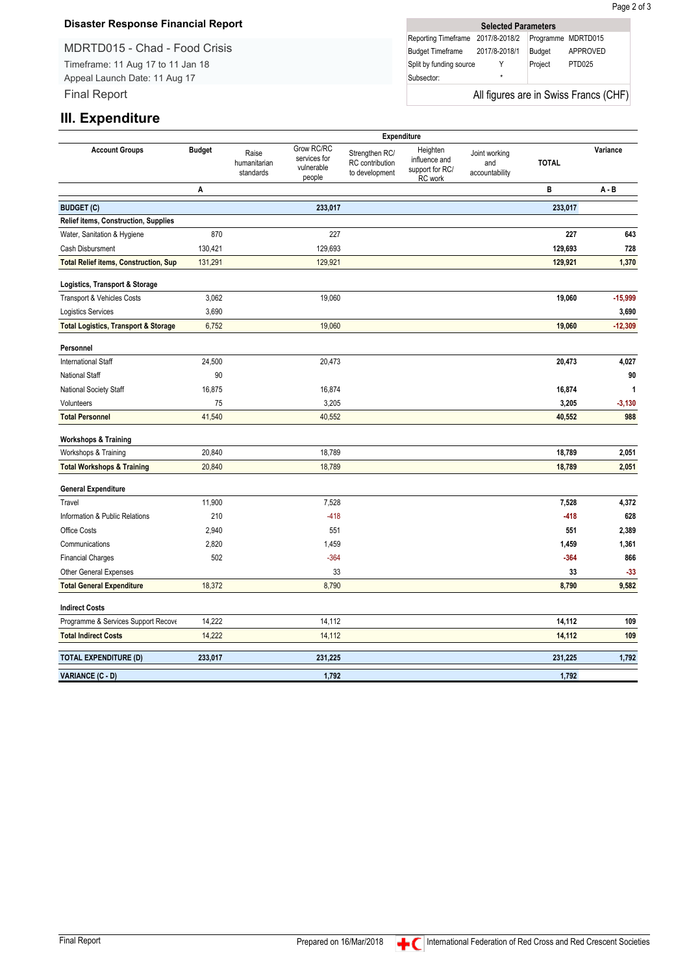## **Disaster Response Financial Report**

## MDRTD015 - Chad - Food Crisis

Timeframe: 11 Aug 17 to 11 Jan 18 Appeal Launch Date: 11 Aug 17 Final Report

| <b>Selected Parameters</b>        |         |         |                                       |  |  |  |  |  |
|-----------------------------------|---------|---------|---------------------------------------|--|--|--|--|--|
| Reporting Timeframe 2017/8-2018/2 |         |         | Programme MDRTD015                    |  |  |  |  |  |
| Budget Timeframe 2017/8-2018/1    |         | Budget  | <b>APPROVED</b>                       |  |  |  |  |  |
| Split by funding source           |         | Project | PTD025                                |  |  |  |  |  |
| Subsector:                        | $\star$ |         |                                       |  |  |  |  |  |
|                                   |         |         | All figures are in Swiss Francs (CHF) |  |  |  |  |  |

## **III. Expenditure**

|                                                 |               |                                    |                                                    |                                                     | Expenditure                                             |                                        |              |           |
|-------------------------------------------------|---------------|------------------------------------|----------------------------------------------------|-----------------------------------------------------|---------------------------------------------------------|----------------------------------------|--------------|-----------|
| <b>Account Groups</b>                           | <b>Budget</b> | Raise<br>humanitarian<br>standards | Grow RC/RC<br>services for<br>vulnerable<br>people | Strengthen RC/<br>RC contribution<br>to development | Heighten<br>influence and<br>support for RC/<br>RC work | Joint working<br>and<br>accountability | <b>TOTAL</b> | Variance  |
|                                                 | A             |                                    |                                                    |                                                     |                                                         |                                        | В            | $A - B$   |
| <b>BUDGET (C)</b>                               |               |                                    | 233.017                                            |                                                     |                                                         |                                        | 233,017      |           |
| Relief items, Construction, Supplies            |               |                                    |                                                    |                                                     |                                                         |                                        |              |           |
| Water, Sanitation & Hygiene                     | 870           |                                    | 227                                                |                                                     |                                                         |                                        | 227          | 643       |
| Cash Disbursment                                | 130,421       |                                    | 129,693                                            |                                                     |                                                         |                                        | 129,693      | 728       |
| <b>Total Relief items, Construction, Sup</b>    | 131,291       |                                    | 129,921                                            |                                                     |                                                         |                                        | 129,921      | 1,370     |
| Logistics, Transport & Storage                  |               |                                    |                                                    |                                                     |                                                         |                                        |              |           |
| Transport & Vehicles Costs                      | 3,062         |                                    | 19,060                                             |                                                     |                                                         |                                        | 19,060       | $-15,999$ |
| Logistics Services                              | 3,690         |                                    |                                                    |                                                     |                                                         |                                        |              | 3,690     |
| <b>Total Logistics, Transport &amp; Storage</b> | 6,752         |                                    | 19,060                                             |                                                     |                                                         |                                        | 19,060       | $-12,309$ |
| Personnel                                       |               |                                    |                                                    |                                                     |                                                         |                                        |              |           |
| <b>International Staff</b>                      | 24,500        |                                    | 20,473                                             |                                                     |                                                         |                                        | 20,473       | 4,027     |
| National Staff                                  | 90            |                                    |                                                    |                                                     |                                                         |                                        |              | 90        |
| National Society Staff                          | 16,875        |                                    | 16,874                                             |                                                     |                                                         |                                        | 16,874       | 1         |
| Volunteers                                      | 75            |                                    | 3,205                                              |                                                     |                                                         |                                        | 3,205        | $-3,130$  |
| <b>Total Personnel</b>                          | 41,540        |                                    | 40,552                                             |                                                     |                                                         |                                        | 40,552       | 988       |
| <b>Workshops &amp; Training</b>                 |               |                                    |                                                    |                                                     |                                                         |                                        |              |           |
| Workshops & Training                            | 20,840        |                                    | 18,789                                             |                                                     |                                                         |                                        | 18,789       | 2,051     |
| <b>Total Workshops &amp; Training</b>           | 20,840        |                                    | 18,789                                             |                                                     |                                                         |                                        | 18,789       | 2,051     |
| <b>General Expenditure</b>                      |               |                                    |                                                    |                                                     |                                                         |                                        |              |           |
| Travel                                          | 11,900        |                                    | 7,528                                              |                                                     |                                                         |                                        | 7,528        | 4,372     |
| Information & Public Relations                  | 210           |                                    | $-418$                                             |                                                     |                                                         |                                        | $-418$       | 628       |
| Office Costs                                    | 2,940         |                                    | 551                                                |                                                     |                                                         |                                        | 551          | 2,389     |
| Communications                                  | 2,820         |                                    | 1,459                                              |                                                     |                                                         |                                        | 1,459        | 1,361     |
| <b>Financial Charges</b>                        | 502           |                                    | $-364$                                             |                                                     |                                                         |                                        | $-364$       | 866       |
| Other General Expenses                          |               |                                    | 33                                                 |                                                     |                                                         |                                        | 33           | $-33$     |
| <b>Total General Expenditure</b>                | 18,372        |                                    | 8,790                                              |                                                     |                                                         |                                        | 8,790        | 9,582     |
| <b>Indirect Costs</b>                           |               |                                    |                                                    |                                                     |                                                         |                                        |              |           |
| Programme & Services Support Recove             | 14,222        |                                    | 14,112                                             |                                                     |                                                         |                                        | 14,112       | 109       |
| <b>Total Indirect Costs</b>                     | 14,222        |                                    | 14,112                                             |                                                     |                                                         |                                        | 14,112       | 109       |
| TOTAL EXPENDITURE (D)                           | 233,017       |                                    | 231,225                                            |                                                     |                                                         |                                        | 231,225      | 1,792     |
| <b>VARIANCE (C - D)</b>                         |               |                                    | 1,792                                              |                                                     |                                                         |                                        | 1,792        |           |
|                                                 |               |                                    |                                                    |                                                     |                                                         |                                        |              |           |